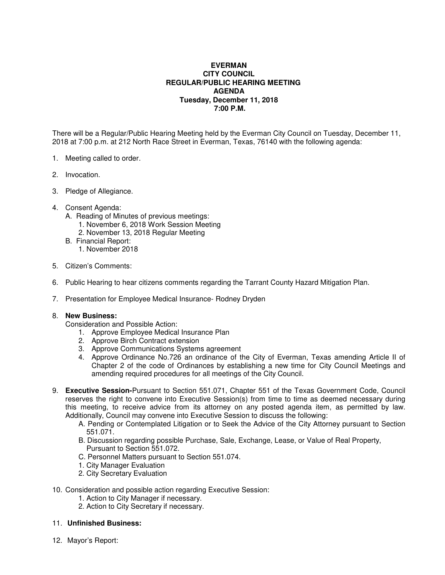## **EVERMAN CITY COUNCIL REGULAR/PUBLIC HEARING MEETING AGENDA Tuesday, December 11, 2018 7:00 P.M.**

There will be a Regular/Public Hearing Meeting held by the Everman City Council on Tuesday, December 11, 2018 at 7:00 p.m. at 212 North Race Street in Everman, Texas, 76140 with the following agenda:

- 1. Meeting called to order.
- 2. Invocation.
- 3. Pledge of Allegiance.
- 4. Consent Agenda:
	- A. Reading of Minutes of previous meetings:
		- 1. November 6, 2018 Work Session Meeting
		- 2. November 13, 2018 Regular Meeting
	- B. Financial Report:
		- 1. November 2018
- 5. Citizen's Comments:
- 6. Public Hearing to hear citizens comments regarding the Tarrant County Hazard Mitigation Plan.
- 7. Presentation for Employee Medical Insurance- Rodney Dryden

## 8. **New Business:**

Consideration and Possible Action:

- 1. Approve Employee Medical Insurance Plan
- 2. Approve Birch Contract extension
- 3. Approve Communications Systems agreement
- 4. Approve Ordinance No.726 an ordinance of the City of Everman, Texas amending Article II of Chapter 2 of the code of Ordinances by establishing a new time for City Council Meetings and amending required procedures for all meetings of the City Council.
- 9. **Executive Session-**Pursuant to Section 551.071, Chapter 551 of the Texas Government Code, Council reserves the right to convene into Executive Session(s) from time to time as deemed necessary during this meeting, to receive advice from its attorney on any posted agenda item, as permitted by law. Additionally, Council may convene into Executive Session to discuss the following:
	- A. Pending or Contemplated Litigation or to Seek the Advice of the City Attorney pursuant to Section 551.071.
	- B. Discussion regarding possible Purchase, Sale, Exchange, Lease, or Value of Real Property, Pursuant to Section 551.072.
	- C. Personnel Matters pursuant to Section 551.074.
	- 1. City Manager Evaluation
	- 2. City Secretary Evaluation
- 10. Consideration and possible action regarding Executive Session:
	- 1. Action to City Manager if necessary.
	- 2. Action to City Secretary if necessary.
- 11. **Unfinished Business:**
- 12. Mayor's Report: